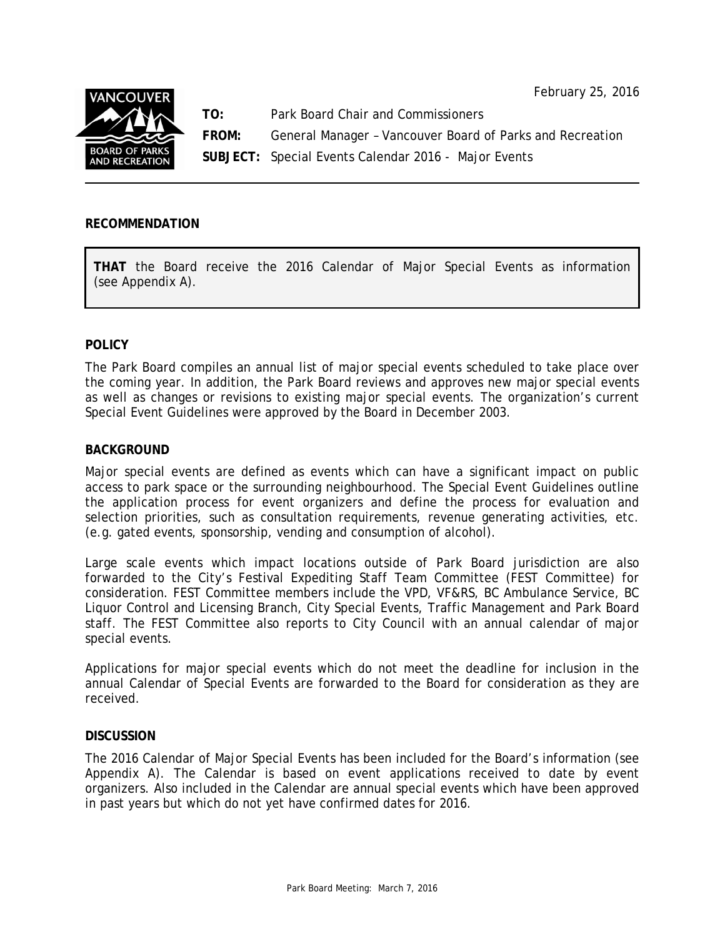February 25, 2016



**TO:** Park Board Chair and Commissioners

**FROM:** General Manager – Vancouver Board of Parks and Recreation

**SUBJECT:** Special Events Calendar 2016 - Major Events

## **RECOMMENDATION**

**THAT** the Board receive the 2016 Calendar of Major Special Events as information (see Appendix A).

## **POLICY**

The Park Board compiles an annual list of major special events scheduled to take place over the coming year. In addition, the Park Board reviews and approves new major special events as well as changes or revisions to existing major special events. The organization's current Special Event Guidelines were approved by the Board in December 2003.

## **BACKGROUND**

Major special events are defined as events which can have a significant impact on public access to park space or the surrounding neighbourhood. The Special Event Guidelines outline the application process for event organizers and define the process for evaluation and selection priorities, such as consultation requirements, revenue generating activities, etc. (e.g. gated events, sponsorship, vending and consumption of alcohol).

Large scale events which impact locations outside of Park Board jurisdiction are also forwarded to the City's Festival Expediting Staff Team Committee (FEST Committee) for consideration. FEST Committee members include the VPD, VF&RS, BC Ambulance Service, BC Liquor Control and Licensing Branch, City Special Events, Traffic Management and Park Board staff. The FEST Committee also reports to City Council with an annual calendar of major special events.

Applications for major special events which do not meet the deadline for inclusion in the annual Calendar of Special Events are forwarded to the Board for consideration as they are received.

## **DISCUSSION**

The 2016 Calendar of Major Special Events has been included for the Board's information (see Appendix A). The Calendar is based on event applications received to date by event organizers. Also included in the Calendar are annual special events which have been approved in past years but which do not yet have confirmed dates for 2016.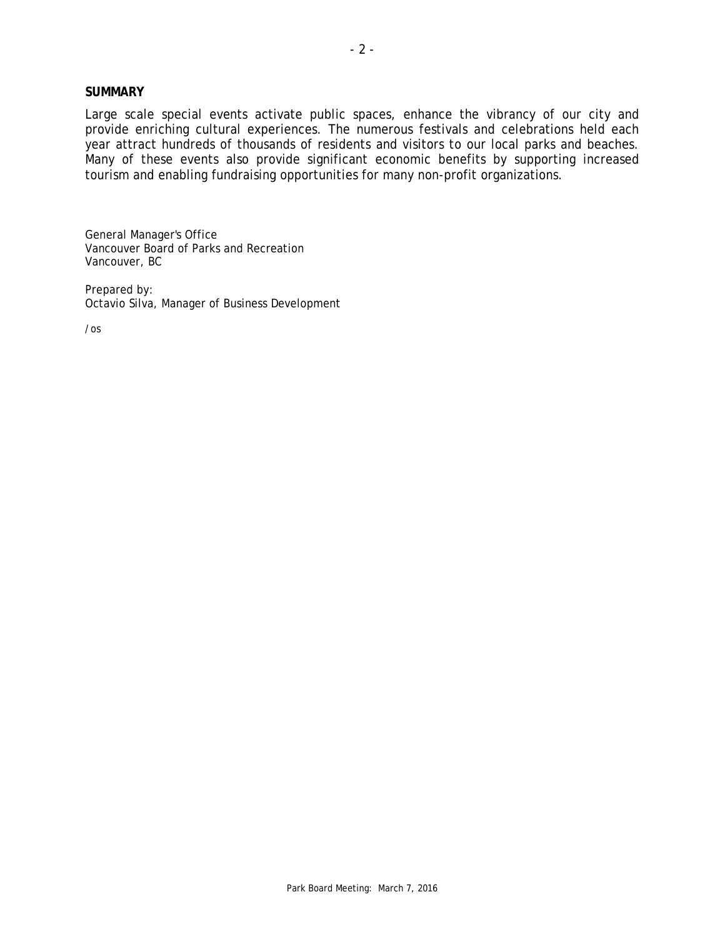#### **SUMMARY**

Large scale special events activate public spaces, enhance the vibrancy of our city and provide enriching cultural experiences. The numerous festivals and celebrations held each year attract hundreds of thousands of residents and visitors to our local parks and beaches. Many of these events also provide significant economic benefits by supporting increased tourism and enabling fundraising opportunities for many non-profit organizations.

General Manager's Office Vancouver Board of Parks and Recreation Vancouver, BC

Prepared by: Octavio Silva, Manager of Business Development

/os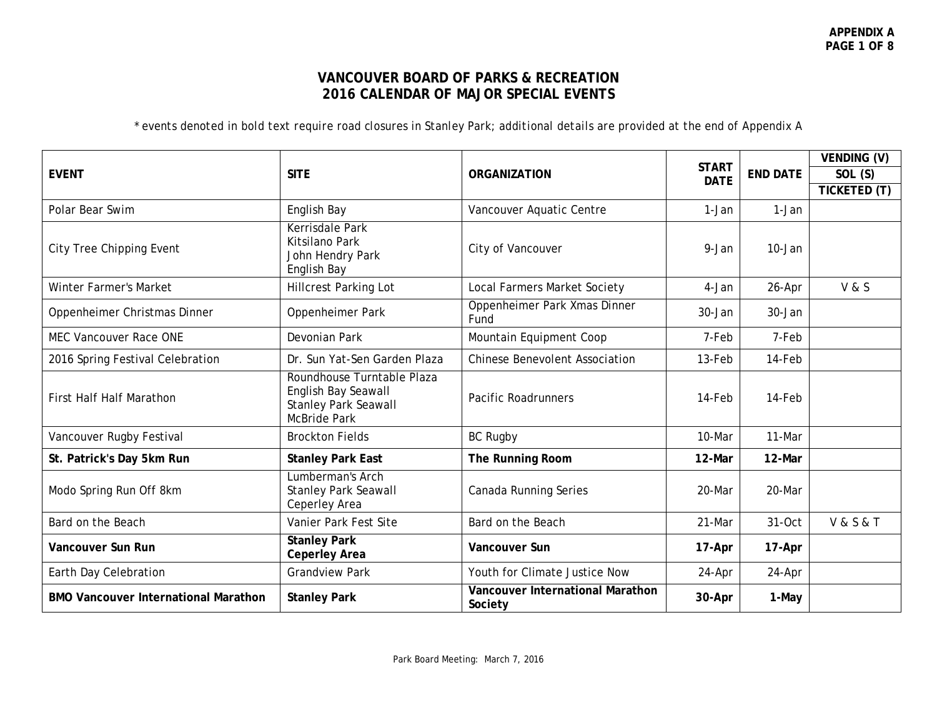## **VANCOUVER BOARD OF PARKS & RECREATION 2016 CALENDAR OF MAJOR SPECIAL EVENTS**

*\* events denoted in bold text require road closures in Stanley Park; additional details are provided at the end of Appendix A* 

|                                             |                                                                                                         |                                             |                             |                 | VENDING (V)          |
|---------------------------------------------|---------------------------------------------------------------------------------------------------------|---------------------------------------------|-----------------------------|-----------------|----------------------|
| <b>EVENT</b>                                | <b>SITE</b>                                                                                             | <b>ORGANIZATION</b>                         | <b>START</b><br><b>DATE</b> | <b>END DATE</b> | SOL (S)              |
|                                             |                                                                                                         |                                             |                             |                 | TICKETED (T)         |
| Polar Bear Swim                             | English Bay                                                                                             | Vancouver Aquatic Centre                    | 1-Jan                       | 1-Jan           |                      |
| City Tree Chipping Event                    | Kerrisdale Park<br><b>Kitsilano Park</b><br>John Hendry Park<br>English Bay                             | City of Vancouver                           | 9-Jan                       | 10-Jan          |                      |
| <b>Winter Farmer's Market</b>               | <b>Hillcrest Parking Lot</b>                                                                            | <b>Local Farmers Market Society</b>         | 4-Jan                       | 26-Apr          | V & S                |
| Oppenheimer Christmas Dinner                | Oppenheimer Park                                                                                        | Oppenheimer Park Xmas Dinner<br>Fund        | 30-Jan                      | 30-Jan          |                      |
| <b>MEC Vancouver Race ONE</b>               | Devonian Park                                                                                           | Mountain Equipment Coop                     | 7-Feb                       | 7-Feb           |                      |
| 2016 Spring Festival Celebration            | Dr. Sun Yat-Sen Garden Plaza                                                                            | <b>Chinese Benevolent Association</b>       | 13-Feb                      | 14-Feb          |                      |
| <b>First Half Half Marathon</b>             | Roundhouse Turntable Plaza<br>English Bay Seawall<br><b>Stanley Park Seawall</b><br><b>McBride Park</b> | <b>Pacific Roadrunners</b>                  | 14-Feb                      | 14-Feb          |                      |
| Vancouver Rugby Festival                    | <b>Brockton Fields</b>                                                                                  | <b>BC Rugby</b>                             | 10-Mar                      | 11-Mar          |                      |
| St. Patrick's Day 5km Run                   | <b>Stanley Park East</b>                                                                                | The Running Room                            | 12-Mar                      | 12-Mar          |                      |
| Modo Spring Run Off 8km                     | Lumberman's Arch<br><b>Stanley Park Seawall</b><br>Ceperley Area                                        | Canada Running Series                       | 20-Mar                      | 20-Mar          |                      |
| Bard on the Beach                           | Vanier Park Fest Site                                                                                   | Bard on the Beach                           | 21-Mar                      | 31-Oct          | <b>V&amp;S&amp;T</b> |
| Vancouver Sun Run                           | <b>Stanley Park</b><br><b>Ceperley Area</b>                                                             | Vancouver Sun                               | 17-Apr                      | 17-Apr          |                      |
| Earth Day Celebration                       | <b>Grandview Park</b>                                                                                   | Youth for Climate Justice Now               | 24-Apr                      | 24-Apr          |                      |
| <b>BMO Vancouver International Marathon</b> | <b>Stanley Park</b>                                                                                     | Vancouver International Marathon<br>Society | 30-Apr                      | 1-May           |                      |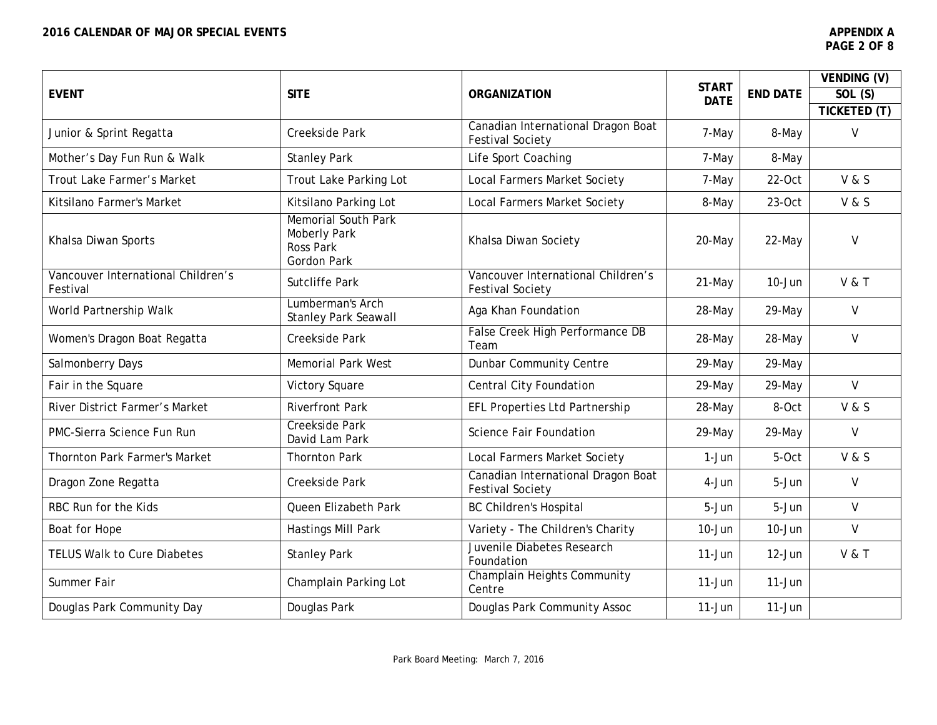|                                                |                                                                               |                                                               |                             |                 | VENDING (V)      |
|------------------------------------------------|-------------------------------------------------------------------------------|---------------------------------------------------------------|-----------------------------|-----------------|------------------|
| <b>EVENT</b>                                   | <b>SITE</b>                                                                   | <b>ORGANIZATION</b>                                           | <b>START</b><br><b>DATE</b> | <b>END DATE</b> | SOL (S)          |
|                                                |                                                                               |                                                               |                             |                 | TICKETED (T)     |
| Junior & Sprint Regatta                        | Creekside Park                                                                | Canadian International Dragon Boat<br><b>Festival Society</b> | 7-May                       | 8-May           | $\vee$           |
| Mother's Day Fun Run & Walk                    | <b>Stanley Park</b>                                                           | Life Sport Coaching                                           | 7-May                       | 8-May           |                  |
| Trout Lake Farmer's Market                     | Trout Lake Parking Lot                                                        | <b>Local Farmers Market Society</b>                           | 7-May                       | $22-Oct$        | V & S            |
| Kitsilano Farmer's Market                      | Kitsilano Parking Lot                                                         | <b>Local Farmers Market Society</b>                           | 8-May                       | $23-Oct$        | V & S            |
| Khalsa Diwan Sports                            | <b>Memorial South Park</b><br>Moberly Park<br>Ross Park<br><b>Gordon Park</b> | Khalsa Diwan Society                                          | 20-May                      | 22-May          | $\mathsf{V}$     |
| Vancouver International Children's<br>Festival | <b>Sutcliffe Park</b>                                                         | Vancouver International Children's<br><b>Festival Society</b> | 21-May                      | 10-Jun          | <b>V &amp; T</b> |
| World Partnership Walk                         | Lumberman's Arch<br><b>Stanley Park Seawall</b>                               | Aga Khan Foundation                                           | 28-May                      | 29-May          | $\vee$           |
| Women's Dragon Boat Regatta                    | Creekside Park                                                                | False Creek High Performance DB<br>Team                       | 28-May                      | 28-May          | $\vee$           |
| Salmonberry Days                               | <b>Memorial Park West</b>                                                     | <b>Dunbar Community Centre</b>                                | 29-May                      | 29-May          |                  |
| Fair in the Square                             | Victory Square                                                                | <b>Central City Foundation</b>                                | 29-May                      | 29-May          | V                |
| River District Farmer's Market                 | <b>Riverfront Park</b>                                                        | EFL Properties Ltd Partnership                                | 28-May                      | 8-Oct           | V & S            |
| PMC-Sierra Science Fun Run                     | <b>Creekside Park</b><br>David Lam Park                                       | <b>Science Fair Foundation</b>                                | 29-May                      | 29-May          | $\vee$           |
| Thornton Park Farmer's Market                  | <b>Thornton Park</b>                                                          | Local Farmers Market Society                                  | 1-Jun                       | 5-Oct           | V & S            |
| Dragon Zone Regatta                            | Creekside Park                                                                | Canadian International Dragon Boat<br><b>Festival Society</b> | 4-Jun                       | 5-Jun           | $\vee$           |
| RBC Run for the Kids                           | Queen Elizabeth Park                                                          | <b>BC Children's Hospital</b>                                 | 5-Jun                       | 5-Jun           | $\vee$           |
| Boat for Hope                                  | Hastings Mill Park                                                            | Variety - The Children's Charity                              | $10 - Jun$                  | 10-Jun          | $\mathsf{V}$     |
| <b>TELUS Walk to Cure Diabetes</b>             | <b>Stanley Park</b>                                                           | Juvenile Diabetes Research<br>Foundation                      | 11-Jun                      | $12$ -Jun       | <b>V &amp; T</b> |
| Summer Fair                                    | Champlain Parking Lot                                                         | Champlain Heights Community<br>Centre                         | $11-Jun$                    | $11-Jun$        |                  |
| Douglas Park Community Day                     | Douglas Park                                                                  | Douglas Park Community Assoc                                  | $11-Jun$                    | $11-Jun$        |                  |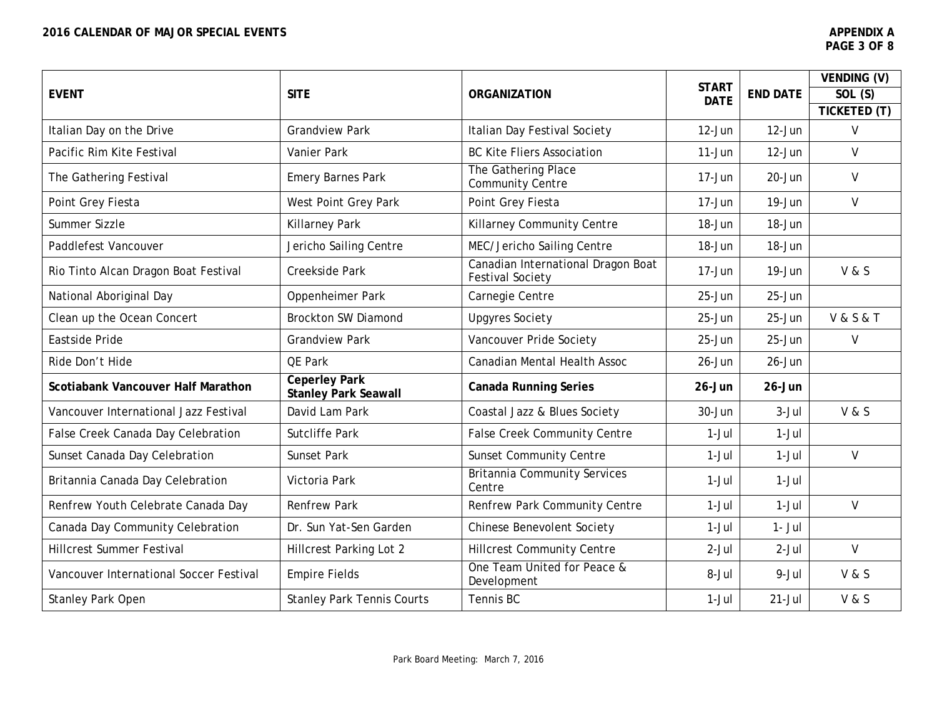|                                         |                                                     |                                                               | <b>START</b> |                 | VENDING (V)          |
|-----------------------------------------|-----------------------------------------------------|---------------------------------------------------------------|--------------|-----------------|----------------------|
| <b>EVENT</b>                            | <b>SITE</b>                                         | <b>ORGANIZATION</b>                                           | <b>DATE</b>  | <b>END DATE</b> | SOL (S)              |
|                                         |                                                     |                                                               |              |                 | TICKETED (T)         |
| Italian Day on the Drive                | <b>Grandview Park</b>                               | Italian Day Festival Society                                  | 12-Jun       | $12-Jun$        | $\mathsf{V}$         |
| Pacific Rim Kite Festival               | Vanier Park                                         | <b>BC Kite Fliers Association</b>                             | $11-Jun$     | $12-Jun$        | $\vee$               |
| The Gathering Festival                  | <b>Emery Barnes Park</b>                            | The Gathering Place<br><b>Community Centre</b>                | 17-Jun       | 20-Jun          | $\vee$               |
| Point Grey Fiesta                       | West Point Grey Park                                | Point Grey Fiesta                                             | $17 - Jun$   | 19-Jun          | $\vee$               |
| Summer Sizzle                           | <b>Killarney Park</b>                               | Killarney Community Centre                                    | 18-Jun       | 18-Jun          |                      |
| Paddlefest Vancouver                    | Jericho Sailing Centre                              | MEC/Jericho Sailing Centre                                    | 18-Jun       | 18-Jun          |                      |
| Rio Tinto Alcan Dragon Boat Festival    | Creekside Park                                      | Canadian International Dragon Boat<br><b>Festival Society</b> | 17-Jun       | 19-Jun          | V & S                |
| National Aboriginal Day                 | Oppenheimer Park                                    | Carnegie Centre                                               | 25-Jun       | 25-Jun          |                      |
| Clean up the Ocean Concert              | <b>Brockton SW Diamond</b>                          | <b>Upgyres Society</b>                                        | 25-Jun       | 25-Jun          | <b>V&amp;S&amp;T</b> |
| Eastside Pride                          | <b>Grandview Park</b>                               | Vancouver Pride Society                                       | $25 - Jun$   | $25 - Jun$      | V                    |
| Ride Don't Hide                         | QE Park                                             | Canadian Mental Health Assoc                                  | $26 - Jun$   | $26 - Jun$      |                      |
| Scotiabank Vancouver Half Marathon      | <b>Ceperley Park</b><br><b>Stanley Park Seawall</b> | <b>Canada Running Series</b>                                  | $26 - Jun$   | $26 - Jun$      |                      |
| Vancouver International Jazz Festival   | David Lam Park                                      | Coastal Jazz & Blues Society                                  | $30 - Jun$   | $3-Jul$         | V & S                |
| False Creek Canada Day Celebration      | <b>Sutcliffe Park</b>                               | <b>False Creek Community Centre</b>                           | $1-Jul$      | $1-Jul$         |                      |
| Sunset Canada Day Celebration           | Sunset Park                                         | <b>Sunset Community Centre</b>                                | $1-Jul$      | $1-Jul$         | $\mathsf{V}$         |
| Britannia Canada Day Celebration        | Victoria Park                                       | <b>Britannia Community Services</b><br>Centre                 | $1-Jul$      | $1-Jul$         |                      |
| Renfrew Youth Celebrate Canada Day      | <b>Renfrew Park</b>                                 | Renfrew Park Community Centre                                 | $1-Jul$      | $1-Jul$         | $\mathsf{V}$         |
| Canada Day Community Celebration        | Dr. Sun Yat-Sen Garden                              | <b>Chinese Benevolent Society</b>                             | $1-Jul$      | $1 - Jul$       |                      |
| <b>Hillcrest Summer Festival</b>        | <b>Hillcrest Parking Lot 2</b>                      | <b>Hillcrest Community Centre</b>                             | $2-Jul$      | $2-Jul$         | $\vee$               |
| Vancouver International Soccer Festival | <b>Empire Fields</b>                                | One Team United for Peace &<br>Development                    | 8-Jul        | 9-Jul           | V & S                |
| <b>Stanley Park Open</b>                | <b>Stanley Park Tennis Courts</b>                   | Tennis BC                                                     | $1-Jul$      | $21 -$ Jul      | V & S                |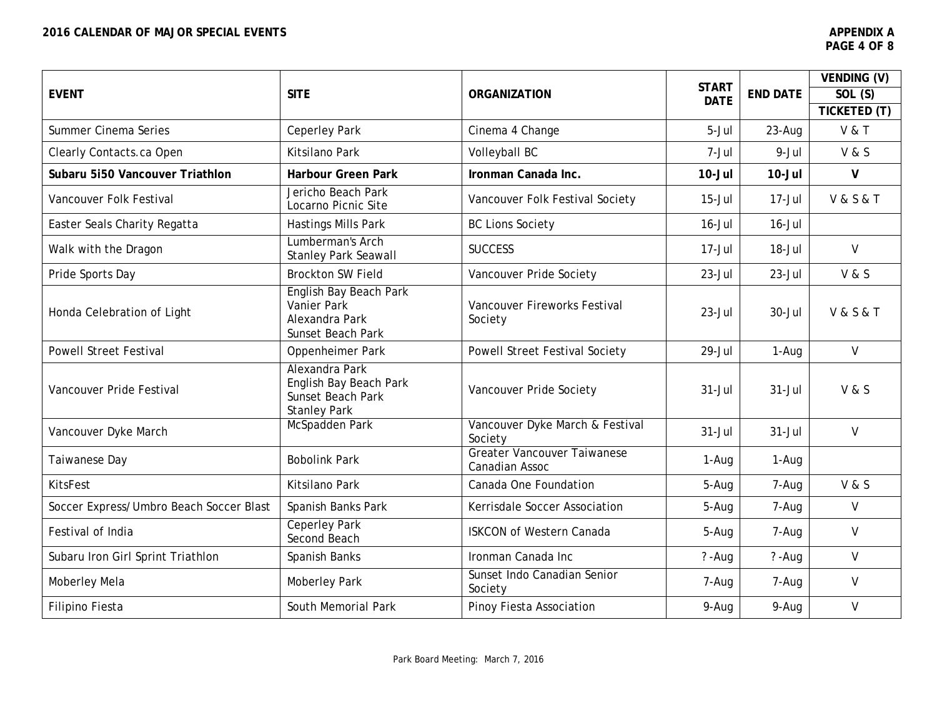|                                         |                                                                                      |                                               |                             |                 | VENDING (V)          |
|-----------------------------------------|--------------------------------------------------------------------------------------|-----------------------------------------------|-----------------------------|-----------------|----------------------|
| <b>EVENT</b>                            | <b>SITE</b>                                                                          | <b>ORGANIZATION</b>                           | <b>START</b><br><b>DATE</b> | <b>END DATE</b> | SOL (S)              |
|                                         |                                                                                      |                                               |                             |                 | <b>TICKETED (T)</b>  |
| Summer Cinema Series                    | <b>Ceperley Park</b>                                                                 | Cinema 4 Change                               | 5-Jul                       | 23-Aug          | <b>V &amp; T</b>     |
| Clearly Contacts.ca Open                | Kitsilano Park                                                                       | Volleyball BC                                 | 7-Jul                       | $9 -$ Jul       | V & S                |
| Subaru 5150 Vancouver Triathlon         | <b>Harbour Green Park</b>                                                            | Ironman Canada Inc.                           | $10 -$ Jul                  | $10 -$ Jul      | $\mathsf{V}$         |
| Vancouver Folk Festival                 | Jericho Beach Park<br>Locarno Picnic Site                                            | Vancouver Folk Festival Society               | $15 -$ Jul                  | $17 -$ Jul      | <b>V&amp;S&amp;T</b> |
| Easter Seals Charity Regatta            | Hastings Mills Park                                                                  | <b>BC Lions Society</b>                       | $16 -$ Jul                  | $16$ -Jul       |                      |
| Walk with the Dragon                    | Lumberman's Arch<br><b>Stanley Park Seawall</b>                                      | <b>SUCCESS</b>                                | $17 -$ Jul                  | $18 -$ Jul      | $\vee$               |
| Pride Sports Day                        | <b>Brockton SW Field</b>                                                             | Vancouver Pride Society                       | $23 -$ Jul                  | $23 -$ Jul      | V & S                |
| Honda Celebration of Light              | English Bay Beach Park<br><b>Vanier Park</b><br>Alexandra Park<br>Sunset Beach Park  | Vancouver Fireworks Festival<br>Society       | $23 -$ Jul                  | $30 -$ Jul      | <b>V&amp;S&amp;T</b> |
| <b>Powell Street Festival</b>           | Oppenheimer Park                                                                     | <b>Powell Street Festival Society</b>         | 29-Jul                      | 1-Aug           | $\mathsf{V}$         |
| Vancouver Pride Festival                | Alexandra Park<br>English Bay Beach Park<br>Sunset Beach Park<br><b>Stanley Park</b> | Vancouver Pride Society                       | $31 -$ Jul                  | $31 -$ Jul      | V & S                |
| Vancouver Dyke March                    | McSpadden Park                                                                       | Vancouver Dyke March & Festival<br>Society    | $31 -$ Jul                  | $31 -$ Jul      | $\mathsf{V}$         |
| Taiwanese Day                           | <b>Bobolink Park</b>                                                                 | Greater Vancouver Taiwanese<br>Canadian Assoc | 1-Aug                       | 1-Aug           |                      |
| <b>KitsFest</b>                         | Kitsilano Park                                                                       | Canada One Foundation                         | 5-Aug                       | 7-Aug           | V & S                |
| Soccer Express/Umbro Beach Soccer Blast | Spanish Banks Park                                                                   | Kerrisdale Soccer Association                 | 5-Aug                       | 7-Aug           | $\vee$               |
| Festival of India                       | <b>Ceperley Park</b><br>Second Beach                                                 | <b>ISKCON of Western Canada</b>               | 5-Aug                       | 7-Aug           | V                    |
| Subaru Iron Girl Sprint Triathlon       | Spanish Banks                                                                        | Ironman Canada Inc                            | $? - Aug$                   | $? - Aug$       | $\vee$               |
| Moberley Mela                           | <b>Moberley Park</b>                                                                 | Sunset Indo Canadian Senior<br>Society        | 7-Aug                       | 7-Aug           | $\vee$               |
| Filipino Fiesta                         | South Memorial Park                                                                  | Pinoy Fiesta Association                      | 9-Aug                       | 9-Aug           | $\mathsf{V}$         |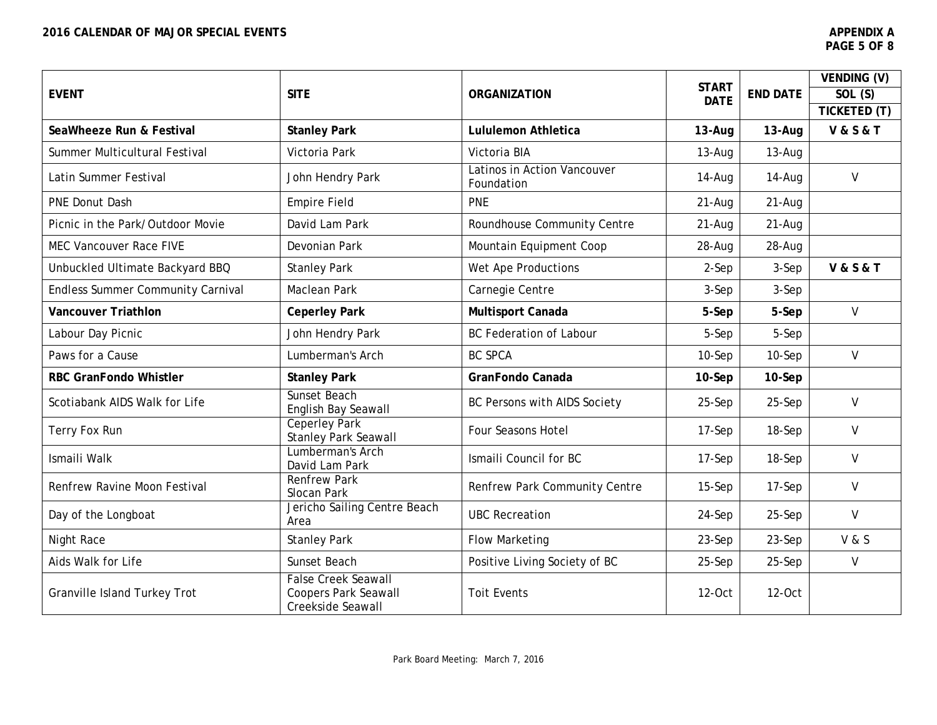|                                          |                                                                                |                                           |                             |                 | VENDING (V)              |
|------------------------------------------|--------------------------------------------------------------------------------|-------------------------------------------|-----------------------------|-----------------|--------------------------|
| <b>EVENT</b>                             | <b>SITE</b>                                                                    | <b>ORGANIZATION</b>                       | <b>START</b><br><b>DATE</b> | <b>END DATE</b> | SOL (S)                  |
|                                          |                                                                                |                                           |                             |                 | TICKETED (T)             |
| SeaWheeze Run & Festival                 | <b>Stanley Park</b>                                                            | <b>Lululemon Athletica</b>                | 13-Aug                      | $13 - Aug$      | <b>V&amp;S&amp;T</b>     |
| Summer Multicultural Festival            | Victoria Park                                                                  | Victoria BIA                              | $13-Auq$                    | 13-Aug          |                          |
| Latin Summer Festival                    | John Hendry Park                                                               | Latinos in Action Vancouver<br>Foundation | 14-Aug                      | 14-Aug          | $\vee$                   |
| <b>PNE Donut Dash</b>                    | <b>Empire Field</b>                                                            | <b>PNE</b>                                | $21 - Aug$                  | $21 - Aug$      |                          |
| Picnic in the Park/Outdoor Movie         | David Lam Park                                                                 | Roundhouse Community Centre               | $21 - Aug$                  | $21 - Aug$      |                          |
| MEC Vancouver Race FIVE                  | Devonian Park                                                                  | Mountain Equipment Coop                   | 28-Aug                      | 28-Aug          |                          |
| Unbuckled Ultimate Backyard BBQ          | <b>Stanley Park</b>                                                            | Wet Ape Productions                       | 2-Sep                       | 3-Sep           | <b>V &amp; S &amp; T</b> |
| <b>Endless Summer Community Carnival</b> | Maclean Park                                                                   | Carnegie Centre                           | $3-$ Sep                    | 3-Sep           |                          |
| <b>Vancouver Triathlon</b>               | <b>Ceperley Park</b>                                                           | Multisport Canada                         | 5-Sep                       | 5-Sep           | $\mathsf{V}$             |
| Labour Day Picnic                        | John Hendry Park                                                               | <b>BC Federation of Labour</b>            | 5-Sep                       | 5-Sep           |                          |
| Paws for a Cause                         | Lumberman's Arch                                                               | <b>BC SPCA</b>                            | $10-$ Sep                   | 10-Sep          | $\vee$                   |
| <b>RBC GranFondo Whistler</b>            | <b>Stanley Park</b>                                                            | GranFondo Canada                          | 10-Sep                      | $10-$ Sep       |                          |
| Scotiabank AIDS Walk for Life            | Sunset Beach<br>English Bay Seawall                                            | BC Persons with AIDS Society              | $25-Sep$                    | 25-Sep          | $\vee$                   |
| Terry Fox Run                            | <b>Ceperley Park</b><br><b>Stanley Park Seawall</b>                            | <b>Four Seasons Hotel</b>                 | $17-$ Sep                   | 18-Sep          | $\vee$                   |
| Ismaili Walk                             | Lumberman's Arch<br>David Lam Park                                             | Ismaili Council for BC                    | 17-Sep                      | 18-Sep          | $\vee$                   |
| Renfrew Ravine Moon Festival             | <b>Renfrew Park</b><br>Slocan Park                                             | Renfrew Park Community Centre             | $15-Sep$                    | 17-Sep          | $\vee$                   |
| Day of the Longboat                      | Jericho Sailing Centre Beach<br>Area                                           | <b>UBC Recreation</b>                     | 24-Sep                      | 25-Sep          | $\vee$                   |
| Night Race                               | <b>Stanley Park</b>                                                            | <b>Flow Marketing</b>                     | 23-Sep                      | 23-Sep          | V & S                    |
| Aids Walk for Life                       | Sunset Beach                                                                   | Positive Living Society of BC             | 25-Sep                      | 25-Sep          | V                        |
| Granville Island Turkey Trot             | <b>False Creek Seawall</b><br><b>Coopers Park Seawall</b><br>Creekside Seawall | <b>Toit Events</b>                        | 12-Oct                      | 12-Oct          |                          |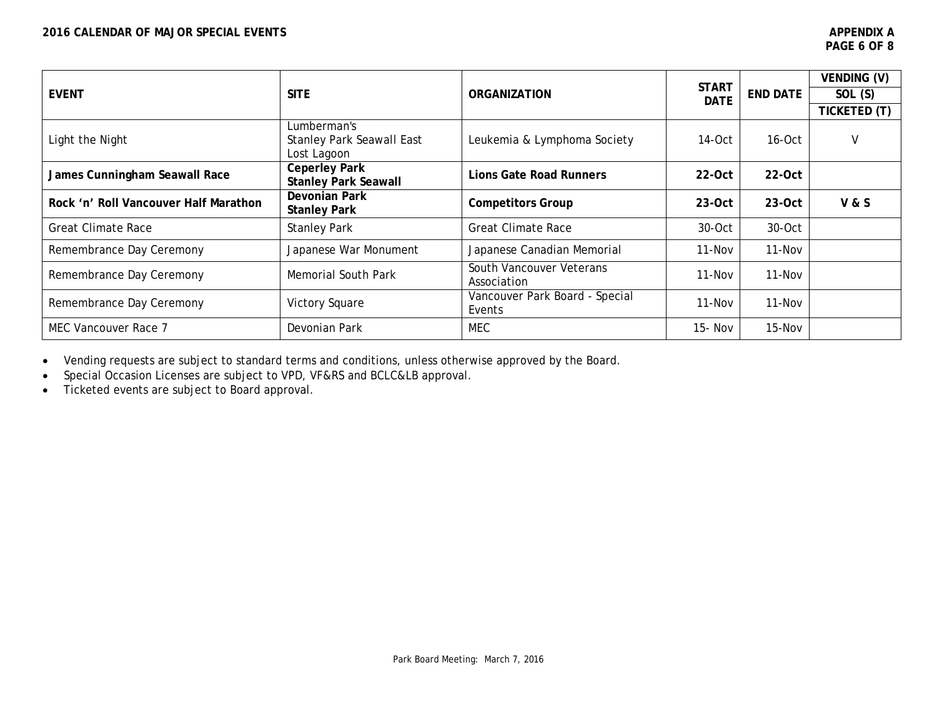|                                       |                                                                |                                          |                             |                 | VENDING (V)    |
|---------------------------------------|----------------------------------------------------------------|------------------------------------------|-----------------------------|-----------------|----------------|
| <b>EVENT</b>                          | <b>SITE</b>                                                    | <b>ORGANIZATION</b>                      | <b>START</b><br><b>DATE</b> | <b>END DATE</b> | SOL(S)         |
|                                       |                                                                |                                          |                             |                 | TICKETED (T)   |
| Light the Night                       | Lumberman's<br><b>Stanley Park Seawall East</b><br>Lost Lagoon | Leukemia & Lymphoma Society              | $14-Oct$                    | $16-Oct$        | V              |
| James Cunningham Seawall Race         | <b>Ceperley Park</b><br><b>Stanley Park Seawall</b>            | <b>Lions Gate Road Runners</b>           | $22-0ct$                    | $22-0ct$        |                |
| Rock 'n' Roll Vancouver Half Marathon | Devonian Park<br><b>Stanley Park</b>                           | <b>Competitors Group</b>                 | $23-0ct$                    | $23-Oct$        | <b>V&amp;S</b> |
| <b>Great Climate Race</b>             | <b>Stanley Park</b>                                            | <b>Great Climate Race</b>                | $30-Oct$                    | 30-Oct          |                |
| Remembrance Day Ceremony              | Japanese War Monument                                          | Japanese Canadian Memorial               | $11 - Nov$                  | $11 - Nov$      |                |
| Remembrance Day Ceremony              | <b>Memorial South Park</b>                                     | South Vancouver Veterans<br>Association  | $11 - Nov$                  | $11 - Nov$      |                |
| Remembrance Day Ceremony              | Victory Square                                                 | Vancouver Park Board - Special<br>Events | $11 - Nov$                  | $11 - Nov$      |                |
| MEC Vancouver Race 7                  | Devonian Park                                                  | <b>MEC</b>                               | 15- Nov                     | 15-Nov          |                |

• Vending requests are subject to standard terms and conditions, unless otherwise approved by the Board.

• Special Occasion Licenses are subject to VPD, VF&RS and BCLC&LB approval.

• Ticketed events are subject to Board approval.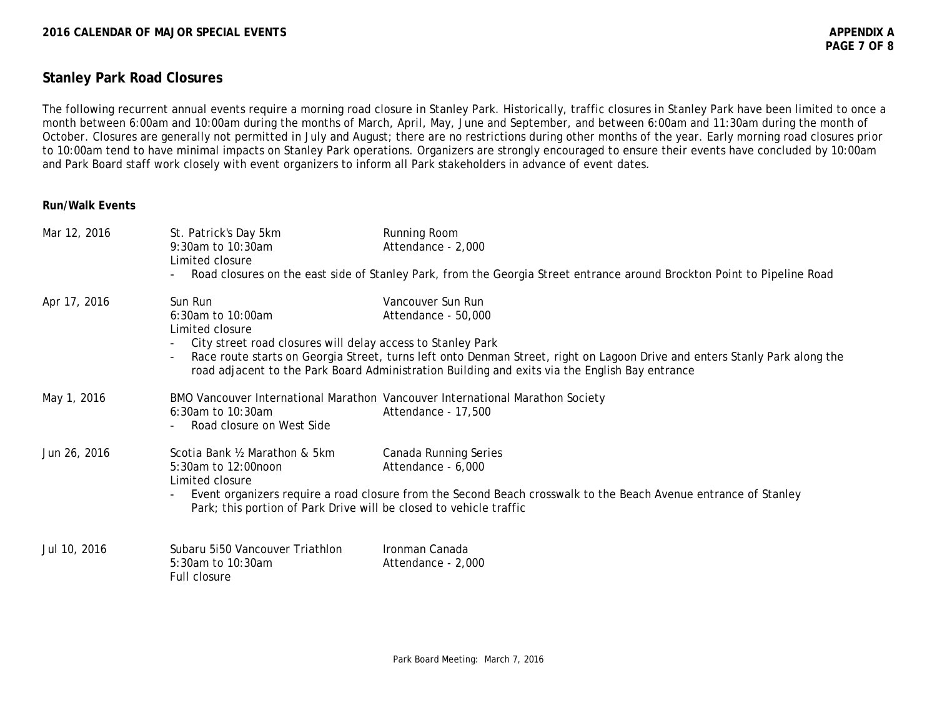# **Stanley Park Road Closures**

The following recurrent annual events require a morning road closure in Stanley Park. Historically, traffic closures in Stanley Park have been limited to once a month between 6:00am and 10:00am during the months of March, April, May, June and September, and between 6:00am and 11:30am during the month of October. Closures are generally not permitted in July and August; there are no restrictions during other months of the year. Early morning road closures prior to 10:00am tend to have minimal impacts on Stanley Park operations. Organizers are strongly encouraged to ensure their events have concluded by 10:00am and Park Board staff work closely with event organizers to inform all Park stakeholders in advance of event dates.

## **Run/Walk Events**

| Mar 12, 2016 | St. Patrick's Day 5km<br>$9:30$ am to $10:30$ am<br>Limited closure                                                                            | Running Room<br>Attendance - 2,000<br>Road closures on the east side of Stanley Park, from the Georgia Street entrance around Brockton Point to Pipeline Road                                                                                                            |
|--------------|------------------------------------------------------------------------------------------------------------------------------------------------|--------------------------------------------------------------------------------------------------------------------------------------------------------------------------------------------------------------------------------------------------------------------------|
| Apr 17, 2016 | Sun Run<br>6:30am to 10:00am<br>Limited closure<br>City street road closures will delay access to Stanley Park                                 | Vancouver Sun Run<br>Attendance - 50,000<br>Race route starts on Georgia Street, turns left onto Denman Street, right on Lagoon Drive and enters Stanly Park along the<br>road adjacent to the Park Board Administration Building and exits via the English Bay entrance |
| May 1, 2016  | $6:30$ am to $10:30$ am<br>Road closure on West Side                                                                                           | BMO Vancouver International Marathon Vancouver International Marathon Society<br>Attendance - 17,500                                                                                                                                                                     |
| Jun 26, 2016 | Scotia Bank 1/2 Marathon & 5km<br>5:30am to 12:00noon<br>Limited closure<br>Park; this portion of Park Drive will be closed to vehicle traffic | Canada Running Series<br>Attendance - 6,000<br>Event organizers require a road closure from the Second Beach crosswalk to the Beach Avenue entrance of Stanley                                                                                                           |
| Jul 10, 2016 | Subaru 5i50 Vancouver Triathlon<br>5:30am to 10:30am<br>Full closure                                                                           | Ironman Canada<br>Attendance - 2,000                                                                                                                                                                                                                                     |